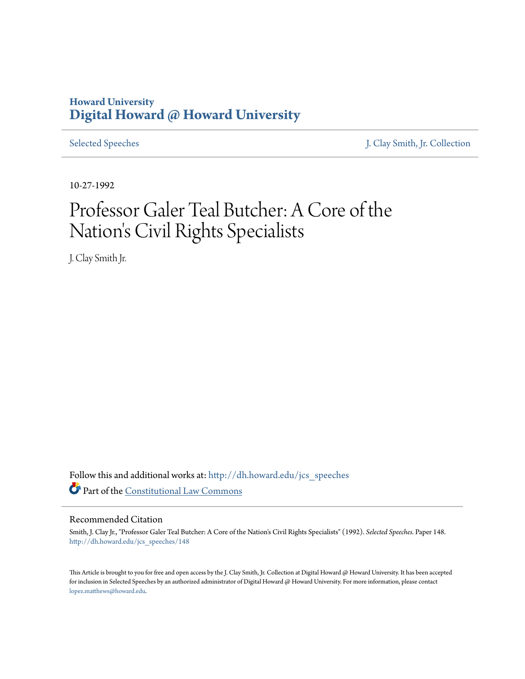## **Howard University [Digital Howard @ Howard University](http://dh.howard.edu?utm_source=dh.howard.edu%2Fjcs_speeches%2F148&utm_medium=PDF&utm_campaign=PDFCoverPages)**

[Selected Speeches](http://dh.howard.edu/jcs_speeches?utm_source=dh.howard.edu%2Fjcs_speeches%2F148&utm_medium=PDF&utm_campaign=PDFCoverPages) [J. Clay Smith, Jr. Collection](http://dh.howard.edu/jcsmith?utm_source=dh.howard.edu%2Fjcs_speeches%2F148&utm_medium=PDF&utm_campaign=PDFCoverPages)

10-27-1992

# Professor Galer Teal Butcher: A Core of the Nation's Civil Rights Specialists

J. Clay Smith Jr.

Follow this and additional works at: [http://dh.howard.edu/jcs\\_speeches](http://dh.howard.edu/jcs_speeches?utm_source=dh.howard.edu%2Fjcs_speeches%2F148&utm_medium=PDF&utm_campaign=PDFCoverPages) Part of the [Constitutional Law Commons](http://network.bepress.com/hgg/discipline/589?utm_source=dh.howard.edu%2Fjcs_speeches%2F148&utm_medium=PDF&utm_campaign=PDFCoverPages)

#### Recommended Citation

Smith, J. Clay Jr., "Professor Galer Teal Butcher: A Core of the Nation's Civil Rights Specialists" (1992). *Selected Speeches.* Paper 148. [http://dh.howard.edu/jcs\\_speeches/148](http://dh.howard.edu/jcs_speeches/148?utm_source=dh.howard.edu%2Fjcs_speeches%2F148&utm_medium=PDF&utm_campaign=PDFCoverPages)

This Article is brought to you for free and open access by the J. Clay Smith, Jr. Collection at Digital Howard @ Howard University. It has been accepted for inclusion in Selected Speeches by an authorized administrator of Digital Howard @ Howard University. For more information, please contact [lopez.matthews@howard.edu.](mailto:lopez.matthews@howard.edu)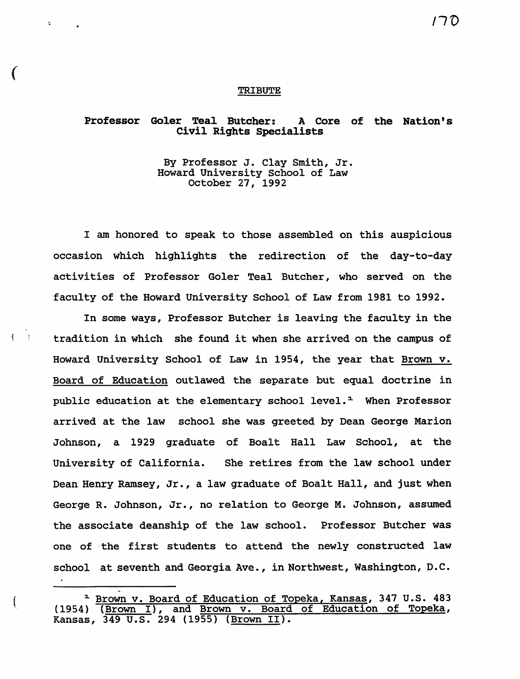#### TRIBUTE

(

Å.  $\rightarrow$   $\tilde{\mathbf{r}}$ 

### Professor Galer Teal Butcher: A Core of the Nation's Civil Rights Specialists

By Professor J. Clay Smith, Jr. Howard University school of Law October 27, 1992

I am honored to speak to those assembled on this auspicious occasion which highlights the redirection of the day-to-day activities of Professor Goler Teal Butcher, who served on the faculty of the Howard University School of Law from 1981 to 1992.

In some ways, Professor Butcher is leaving the faculty in the tradition in which she found it when she arrived on the campus of Howard University School of Law in 1954, the year that Brown v. Board of Education outlawed the separate but equal doctrine in public education at the elementary school level. $<sup>1</sup>$  When Professor</sup> arrived at the law school she was greeted by Dean George Marion Johnson, a 1929 graduate of Boalt Hall Law School, at the University of California. She retires from the law school under Dean Henry Ramsey, Jr., a law graduate of Boalt Hall, and just when George R. Johnson, Jr., no relation to George M. Johnson, assumed the associate deanship of the law school. Professor Butcher was one of the first students to attend the newly constructed law school at seventh and Georgia Ave., in Northwest, Washington, D.C.

~

<sup>&</sup>lt;sup>1</sup> Brown v. Board of Education of Topeka, Kansas, 347 U.S. 483 (1954) (Brown I), and Brown v. Board of Education of Topeka, Kansas, 349 U.s. 294 (1955) (Brown II).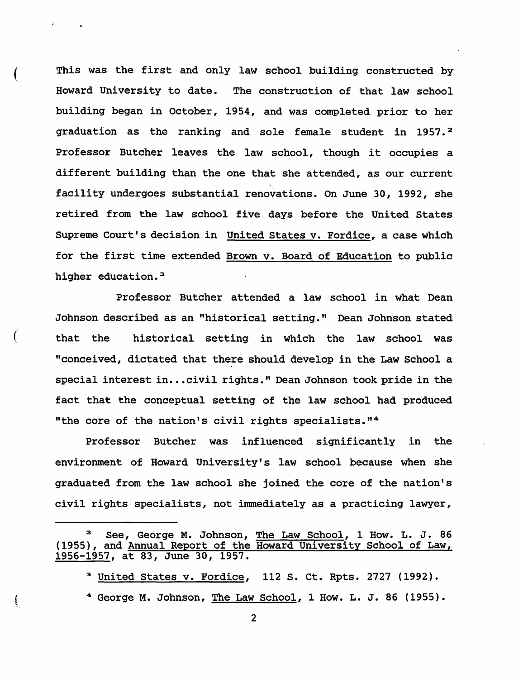This was the first and only law school building constructed by Howard University to date. The construction of that law school building began in October, 1954, and was completed prior to her graduation as the ranking and sole female student in 1957.<sup>2</sup> Professor Butcher leaves the law school, though it occupies a different building than the one that she attended, as our current facility undergoes substantial renovations. On June 30, 1992, she retired from the law school five days before the United States Supreme Court's decision in United States v. Fordice, a case which for the first time extended Brown v. Board of Education to public higher education.<sup>3</sup>

Professor Butcher attended a law school in what Dean Johnson described as an "historical setting." Dean Johnson stated that the historical setting in which the law school was "conceived, dictated that there should develop in the Law School a special interest in...civil rights." Dean Johnson took pride in the fact that the conceptual setting of the law school had produced "the core of the nation's civil rights specialists."<sup>4</sup>

 $\left($ 

Professor Butcher was influenced significantly in the environment of Howard University's law school because when she graduated from the law school she joined the core of the nation's civil rights specialists, not immediately as a practicing lawyer,

2 See, George M. Johnson, The Law School, 1 How. L. J. 86 (1955), and Annual Report of the Howard University School of Law, 1956-1957, at 83, June 30, 1957.

3 United States v. Fordice, 112 S. Ct. Rpts. 2727 (1992). 4 George M. Johnson, The Law School, 1 How. L. J. 86 (1955).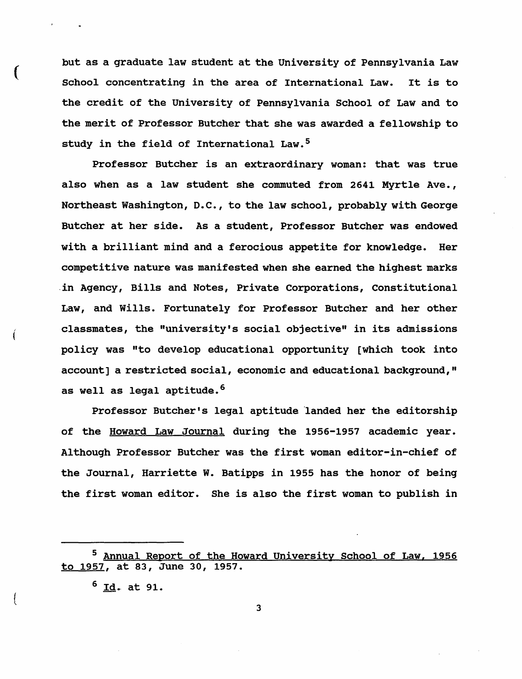but as a graduate law student at the University of Pennsylvania Law School concentrating in the area of International Law. It is to the credit of the University of Pennsylvania School of Law and to the merit of Professor Butcher that she was awarded a fellowship to study in the field of International Law. $^5$ 

Professor Butcher is an extraordinary woman: that was true also when as a law student she commuted from 2641 Myrtle Ave., Northeast Washington, D.C., to the law school, probably with George Butcher at her side. As a student, Professor Butcher was endowed with a brilliant mind and a ferocious appetite for knowledge. Her competitive nature was manifested when she earned the highest marks .in Agency, Bills and Notes, Private Corporations, Constitutional Law, and Wills. Fortunately for Professor Butcher and her other classmates, the "university's social objective" in its admissions policy was "to develop educational opportunity [which took into account] a restricted social, economic and educational background," as well as legal aptitude.<sup>6</sup>

Professor Butcher's legal aptitude landed her the editorship of the Howard Law Journal during the 1956-1957 academic year. Although Professor Butcher was the first woman editor-in-chief of the Journal, Harriette W. Batipps in 1955 has the honor of being the first woman editor. She is also the first woman to publish in

(

(

{

<sup>5</sup> Annual Report of the Howard University School of Law, 1956 to 1957, at 83, June 30, 1957.

 $6$  Id. at 91.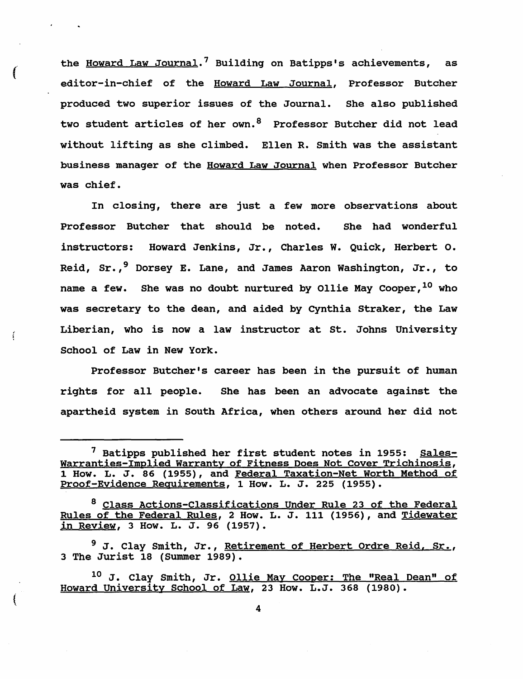the Howard Law Journal.' Building on Batipps's achievements, as editor-in-chief of the Howard Law Journal, Professor Butcher produced two superior issues of the Journal. She also published two student articles of her own.<sup>8</sup> Professor Butcher did not lead without lifting as she climbed. Ellen R. smith was the assistant business manager of the Howard Law Journal when Professor Butcher was chief.

In closing, there are just a few more observations about Professor Butcher that should be noted. She had wonderful instructors: Howard Jenkins, Jr., Charles W. Quick, Herbert o. Reid, Sr.,<sup>9</sup> Dorsey E. Lane, and James Aaron Washington, Jr., to name a few. She was no doubt nurtured by Ollie May Cooper, <sup>10</sup> who was secretary to the dean, and aided by Cynthia Straker, the Law Liberian, who is now a law instructor at st. Johns University School of Law in New York.

Professor Butcher's career has been in the pursuit of human rights for all people. She has been an advocate against the apartheid system in South Africa, when others around her did not

 $\left($ 

Í.

<sup>&</sup>lt;sup>7</sup> Batipps published her first student notes in 1955: Sales-Warranties-Implied Warranty of Fitness Does Not Cover Trichinosis, 1 How. L. J. 86 (1955), and Federal Taxation-Net Worth Method of Proof-Evidence Requirements, 1 How. L. J. 225 (1955).

<sup>8</sup> Class Actions-Classifications Under Rule 23 of the Federal Rules of the Federal Rules, 2 How. L. J. 111 (1956), and Tidewater in Review, 3 How. L. J. 96 (1957).

<sup>&</sup>lt;sup>9</sup> J. Clay Smith, Jr., Retirement of Herbert Ordre Reid, Sr., 3 The Jurist 18 (Summer 1989).

<sup>&</sup>lt;sup>10</sup> J. Clay Smith, Jr. <u>Ollie May Cooper: The "Real Dean" of</u> Howard University School of Law, 23 How. L.J. 368 (1980).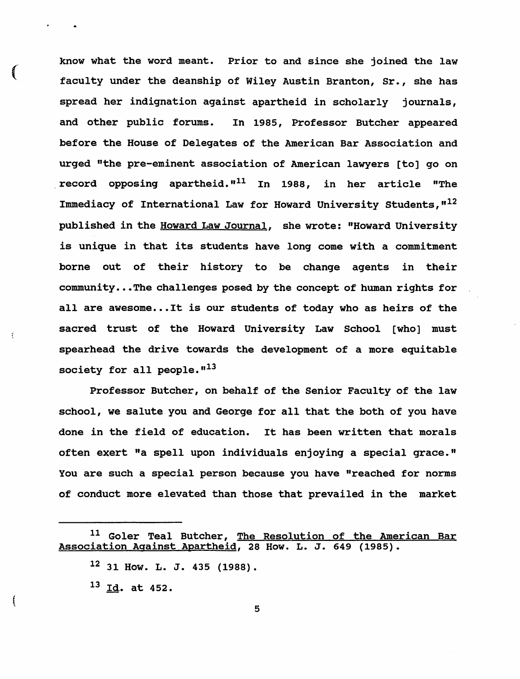know what the word meant. Prior to and since she joined the law faculty under the deanship of Wiley Austin Branton, Sr., she has spread her indignation against apartheid in scholarly journals, and other public forums. In 1985, Professor Butcher appeared before the House of Delegates of the American Bar Association and urged "the pre-eminent association of American lawyers [to] go on record opposing apartheid."<sup>11</sup> In 1988, in her article "The Immediacy of International Law for Howard University Students,  $12$ published in the Howard Law Journal, she wrote: "Howard University is unique in that its students have long come with a commitment borne out of their history to be change agents in their community...The challenges posed by the concept of human rights for all are awesome...It is our students of today who as heirs of the sacred trust of the Howard University Law School [who] must spearhead the drive towards the development of a more equitable society for all people. $"13$ 

Professor Butcher, on behalf of the Senior Faculty of the law school, we salute you and George for all that the both of you have done in the field of education. It has been written that morals often exert "a spell upon individuals enjoying a special grace." You are such a special person because you have "reached for norms of conduct more elevated than those that prevailed in the market

 $^{13}$  Id. at 452.

("

(

<sup>&</sup>lt;sup>11</sup> Goler Teal Butcher, The Resolution of the American Bar Association Against Apartheid, 28 How. L. J. 649 (1985).

 $12$  31 How. L. J. 435 (1988).